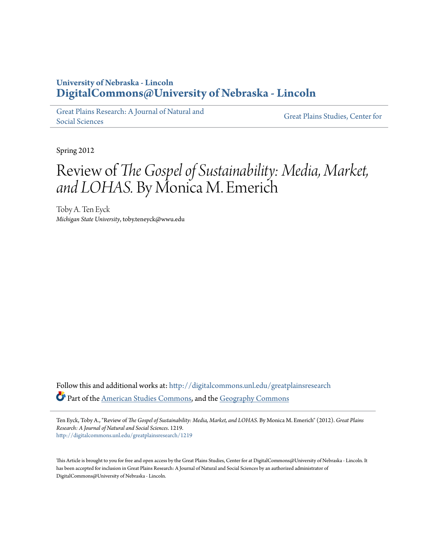## **University of Nebraska - Lincoln [DigitalCommons@University of Nebraska - Lincoln](http://digitalcommons.unl.edu?utm_source=digitalcommons.unl.edu%2Fgreatplainsresearch%2F1219&utm_medium=PDF&utm_campaign=PDFCoverPages)**

[Great Plains Research: A Journal of Natural and](http://digitalcommons.unl.edu/greatplainsresearch?utm_source=digitalcommons.unl.edu%2Fgreatplainsresearch%2F1219&utm_medium=PDF&utm_campaign=PDFCoverPages) [Social Sciences](http://digitalcommons.unl.edu/greatplainsresearch?utm_source=digitalcommons.unl.edu%2Fgreatplainsresearch%2F1219&utm_medium=PDF&utm_campaign=PDFCoverPages)

[Great Plains Studies, Center for](http://digitalcommons.unl.edu/greatplainsstudies?utm_source=digitalcommons.unl.edu%2Fgreatplainsresearch%2F1219&utm_medium=PDF&utm_campaign=PDFCoverPages)

Spring 2012

## Review of *The Gospel of Sustainability: Media, Market, and LOHAS.* By Monica M. Emerich

Toby A. Ten Eyck *Michigan State University*, toby.teneyck@wwu.edu

Follow this and additional works at: [http://digitalcommons.unl.edu/greatplainsresearch](http://digitalcommons.unl.edu/greatplainsresearch?utm_source=digitalcommons.unl.edu%2Fgreatplainsresearch%2F1219&utm_medium=PDF&utm_campaign=PDFCoverPages) Part of the [American Studies Commons](http://network.bepress.com/hgg/discipline/439?utm_source=digitalcommons.unl.edu%2Fgreatplainsresearch%2F1219&utm_medium=PDF&utm_campaign=PDFCoverPages), and the [Geography Commons](http://network.bepress.com/hgg/discipline/354?utm_source=digitalcommons.unl.edu%2Fgreatplainsresearch%2F1219&utm_medium=PDF&utm_campaign=PDFCoverPages)

Ten Eyck, Toby A., "Review of *The Gospel of Sustainability: Media, Market, and LOHAS.* By Monica M. Emerich" (2012). *Great Plains Research: A Journal of Natural and Social Sciences*. 1219. [http://digitalcommons.unl.edu/greatplainsresearch/1219](http://digitalcommons.unl.edu/greatplainsresearch/1219?utm_source=digitalcommons.unl.edu%2Fgreatplainsresearch%2F1219&utm_medium=PDF&utm_campaign=PDFCoverPages)

This Article is brought to you for free and open access by the Great Plains Studies, Center for at DigitalCommons@University of Nebraska - Lincoln. It has been accepted for inclusion in Great Plains Research: A Journal of Natural and Social Sciences by an authorized administrator of DigitalCommons@University of Nebraska - Lincoln.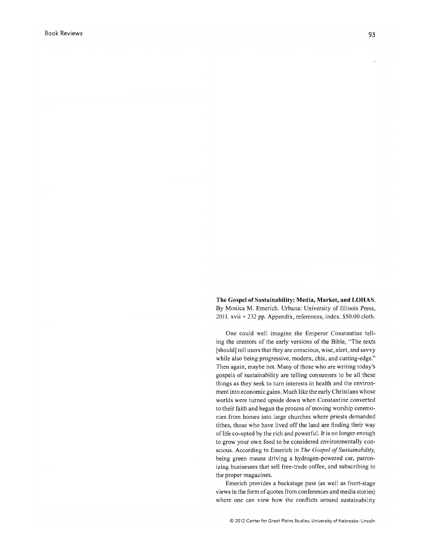The Gospel of Sustainability: Media, Market, and LOHAS. By Monica M. Emerich. Urbana: University of Illinois Press, 2011. xvii + 232 pp. Appendix, references, index. \$50.00 cloth.

One could well imagine the Emperor Constantine telling the creators of the early versions of the Bible, "The texts [should] tell users that they are conscious, wise, alert, and savvy while also being progressive, modern, chic, and cutting-edge." Then again, maybe not. Many of those who are writing today's gospels of sustainability are telling consumers to be all these things as they seek to turn interests in health and the environment into economic gains. Much like the early Christians whose worlds were turned upside down when Constantine converted to their faith and began the process of moving worship ceremonies from homes into large churches where priests demanded tithes, those who have lived off the land are finding their way of life co-opted by the rich and powerful. It is no longer enough to grow your own food to be considered environmentally conscious. According to Emerich in *The Gospel of Sustainability,*  being green means driving a hydrogen-powered car, patronizing businesses that sell free-trade coffee, and subscribing to the proper magazines.

Emerich provides a backstage pass (as well as front-stage views in the form of quotes from conferences and media stories) where one can view how the conflicts around sustainability